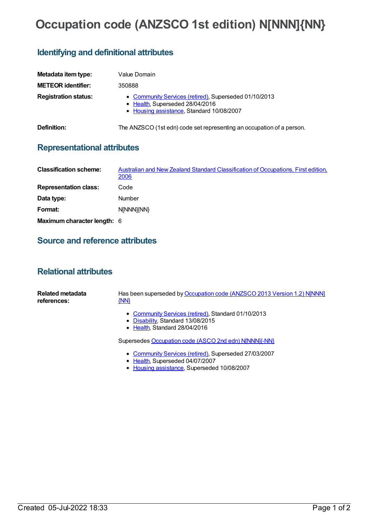# **Occupation code (ANZSCO 1st edition) N[NNN]{NN}**

## **Identifying and definitional attributes**

| Metadata item type:         | Value Domain                                                                                                                          |
|-----------------------------|---------------------------------------------------------------------------------------------------------------------------------------|
| <b>METEOR identifier:</b>   | 350888                                                                                                                                |
| <b>Registration status:</b> | • Community Services (retired), Superseded 01/10/2013<br>• Health, Superseded 28/04/2016<br>• Housing assistance, Standard 10/08/2007 |
| Definition:                 | The ANZSCO (1st edn) code set representing an occupation of a person.                                                                 |

### **Representational attributes**

| <b>Classification scheme:</b> | Australian and New Zealand Standard Classification of Occupations, First edition,<br><u> 2006</u> |
|-------------------------------|---------------------------------------------------------------------------------------------------|
| <b>Representation class:</b>  | Code                                                                                              |
| Data type:                    | Number                                                                                            |
| Format:                       | N[NNN]{NN}                                                                                        |
| Maximum character length: 6   |                                                                                                   |

### **Source and reference attributes**

### **Relational attributes**

| Related metadata<br>references: | Has been superseded by Occupation code (ANZSCO 2013 Version 1.2) NJNNN]<br>$\{NN\}$                                       |
|---------------------------------|---------------------------------------------------------------------------------------------------------------------------|
|                                 | • Community Services (retired), Standard 01/10/2013<br>• Disability, Standard 13/08/2015<br>• Health, Standard 28/04/2016 |
|                                 | Supersedes Occupation code (ASCO 2nd edn) N[NNN]{-NN}                                                                     |
|                                 | • Community Services (retired), Superseded 27/03/2007                                                                     |

- [Health](https://meteor.aihw.gov.au/RegistrationAuthority/12), Superseded 04/07/2007
- Housing [assistance](https://meteor.aihw.gov.au/RegistrationAuthority/11), Superseded 10/08/2007